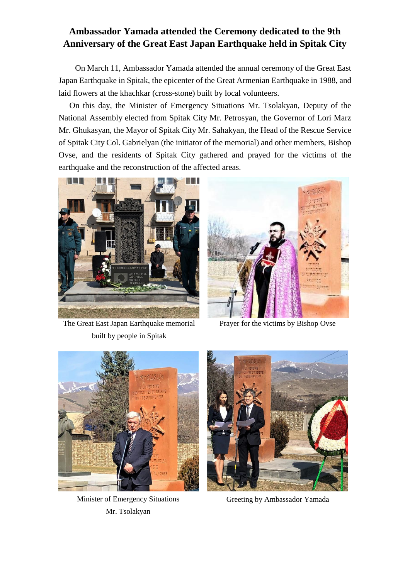## **Ambassador Yamada attended the Ceremony dedicated to the 9th Anniversary of the Great East Japan Earthquake held in Spitak City**

On March 11, Ambassador Yamada attended the annual ceremony of the Great East Japan Earthquake in Spitak, the epicenter of the Great Armenian Earthquake in 1988, and laid flowers at the khachkar (cross-stone) built by local volunteers.

 On this day, the Minister of Emergency Situations Mr. Tsolakyan, Deputy of the National Assembly elected from Spitak City Mr. Petrosyan, the Governor of Lori Marz Mr. Ghukasyan, the Mayor of Spitak City Mr. Sahakyan, the Head of the Rescue Service of Spitak City Col. Gabrielyan (the initiator of the memorial) and other members, Bishop Ovse, and the residents of Spitak City gathered and prayed for the victims of the earthquake and the reconstruction of the affected areas.



The Great East Japan Earthquake memorial built by people in Spitak



Prayer for the victims by Bishop Ovse



Minister of Emergency Situations Mr. Tsolakyan



Greeting by Ambassador Yamada